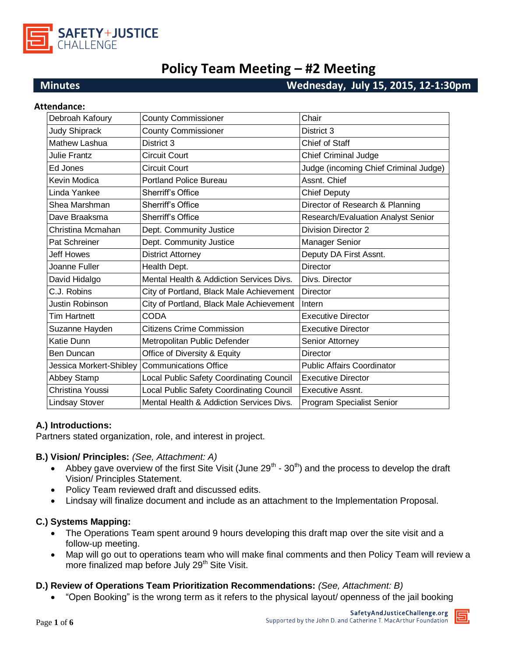

# **Policy Team Meeting – #2 Meeting**

# **Minutes Wednesday, July 15, 2015, 12-1:30pm**

| <b>Attendance:</b>      |                                          |                                       |
|-------------------------|------------------------------------------|---------------------------------------|
| Debroah Kafoury         | <b>County Commissioner</b>               | Chair                                 |
| <b>Judy Shiprack</b>    | <b>County Commissioner</b>               | District 3                            |
| <b>Mathew Lashua</b>    | District 3                               | Chief of Staff                        |
| Julie Frantz            | <b>Circuit Court</b>                     | <b>Chief Criminal Judge</b>           |
| Ed Jones                | <b>Circuit Court</b>                     | Judge (incoming Chief Criminal Judge) |
| Kevin Modica            | <b>Portland Police Bureau</b>            | Assnt. Chief                          |
| Linda Yankee            | Sherriff's Office                        | <b>Chief Deputy</b>                   |
| Shea Marshman           | Sherriff's Office                        | Director of Research & Planning       |
| Dave Braaksma           | Sherriff's Office                        | Research/Evaluation Analyst Senior    |
| Christina Mcmahan       | Dept. Community Justice                  | <b>Division Director 2</b>            |
| Pat Schreiner           | Dept. Community Justice                  | Manager Senior                        |
| <b>Jeff Howes</b>       | <b>District Attorney</b>                 | Deputy DA First Assnt.                |
| Joanne Fuller           | Health Dept.                             | <b>Director</b>                       |
| David Hidalgo           | Mental Health & Addiction Services Divs. | Divs. Director                        |
| C.J. Robins             | City of Portland, Black Male Achievement | <b>Director</b>                       |
| Justin Robinson         | City of Portland, Black Male Achievement | Intern                                |
| Tim Hartnett            | <b>CODA</b>                              | <b>Executive Director</b>             |
| Suzanne Hayden          | <b>Citizens Crime Commission</b>         | <b>Executive Director</b>             |
| Katie Dunn              | Metropolitan Public Defender             | Senior Attorney                       |
| Ben Duncan              | Office of Diversity & Equity             | Director                              |
| Jessica Morkert-Shibley | <b>Communications Office</b>             | <b>Public Affairs Coordinator</b>     |
| Abbey Stamp             | Local Public Safety Coordinating Council | <b>Executive Director</b>             |
| Christina Youssi        | Local Public Safety Coordinating Council | Executive Assnt.                      |
| <b>Lindsay Stover</b>   | Mental Health & Addiction Services Divs. | Program Specialist Senior             |

#### **A.) Introductions:**

Partners stated organization, role, and interest in project.

#### **B.) Vision/ Principles:** *(See, Attachment: A)*

- Abbey gave overview of the first Site Visit (June  $29<sup>th</sup>$   $30<sup>th</sup>$ ) and the process to develop the draft Vision/ Principles Statement.
- Policy Team reviewed draft and discussed edits.
- Lindsay will finalize document and include as an attachment to the Implementation Proposal.

#### **C.) Systems Mapping:**

- The Operations Team spent around 9 hours developing this draft map over the site visit and a follow-up meeting.
- Map will go out to operations team who will make final comments and then Policy Team will review a more finalized map before July 29<sup>th</sup> Site Visit.

#### **D.) Review of Operations Team Prioritization Recommendations:** *(See, Attachment: B)*

"Open Booking" is the wrong term as it refers to the physical layout/ openness of the jail booking

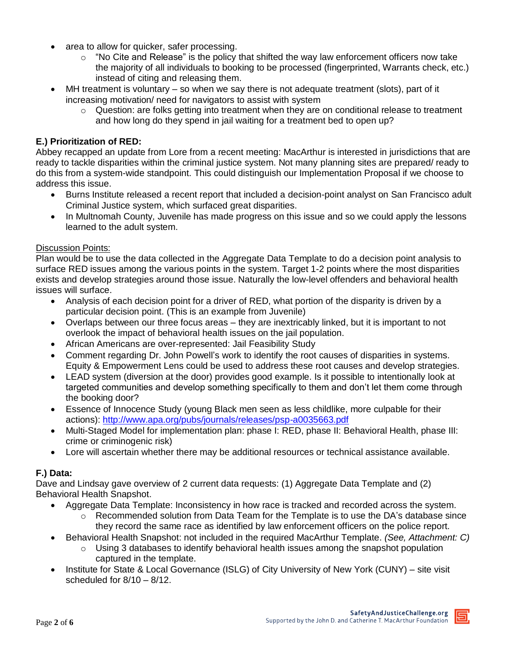- area to allow for quicker, safer processing.
	- $\circ$  "No Cite and Release" is the policy that shifted the way law enforcement officers now take the majority of all individuals to booking to be processed (fingerprinted, Warrants check, etc.) instead of citing and releasing them.
- MH treatment is voluntary so when we say there is not adequate treatment (slots), part of it increasing motivation/ need for navigators to assist with system
	- $\circ$  Question: are folks getting into treatment when they are on conditional release to treatment and how long do they spend in jail waiting for a treatment bed to open up?

## **E.) Prioritization of RED:**

Abbey recapped an update from Lore from a recent meeting: MacArthur is interested in jurisdictions that are ready to tackle disparities within the criminal justice system. Not many planning sites are prepared/ ready to do this from a system-wide standpoint. This could distinguish our Implementation Proposal if we choose to address this issue.

- Burns Institute released a recent report that included a decision-point analyst on San Francisco adult Criminal Justice system, which surfaced great disparities.
- In Multnomah County, Juvenile has made progress on this issue and so we could apply the lessons learned to the adult system.

#### Discussion Points:

Plan would be to use the data collected in the Aggregate Data Template to do a decision point analysis to surface RED issues among the various points in the system. Target 1-2 points where the most disparities exists and develop strategies around those issue. Naturally the low-level offenders and behavioral health issues will surface.

- Analysis of each decision point for a driver of RED, what portion of the disparity is driven by a particular decision point. (This is an example from Juvenile)
- Overlaps between our three focus areas they are inextricably linked, but it is important to not overlook the impact of behavioral health issues on the jail population.
- African Americans are over-represented: Jail Feasibility Study
- Comment regarding Dr. John Powell's work to identify the root causes of disparities in systems. Equity & Empowerment Lens could be used to address these root causes and develop strategies.
- LEAD system (diversion at the door) provides good example. Is it possible to intentionally look at targeted communities and develop something specifically to them and don't let them come through the booking door?
- Essence of Innocence Study (young Black men seen as less childlike, more culpable for their actions): <http://www.apa.org/pubs/journals/releases/psp-a0035663.pdf>
- Multi-Staged Model for implementation plan: phase I: RED, phase II: Behavioral Health, phase III: crime or criminogenic risk)
- Lore will ascertain whether there may be additional resources or technical assistance available.

#### **F.) Data:**

Dave and Lindsay gave overview of 2 current data requests: (1) Aggregate Data Template and (2) Behavioral Health Snapshot.

- Aggregate Data Template: Inconsistency in how race is tracked and recorded across the system.
	- Recommended solution from Data Team for the Template is to use the DA's database since they record the same race as identified by law enforcement officers on the police report.
- Behavioral Health Snapshot: not included in the required MacArthur Template. *(See, Attachment: C)*
	- $\circ$  Using 3 databases to identify behavioral health issues among the snapshot population captured in the template.
- Institute for State & Local Governance (ISLG) of City University of New York (CUNY) site visit scheduled for 8/10 – 8/12.

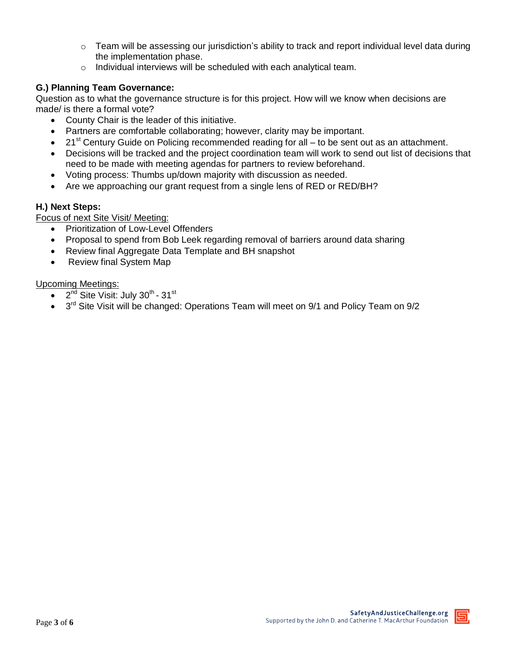- $\circ$  Team will be assessing our jurisdiction's ability to track and report individual level data during the implementation phase.
- o Individual interviews will be scheduled with each analytical team.

# **G.) Planning Team Governance:**

Question as to what the governance structure is for this project. How will we know when decisions are made/ is there a formal vote?

- County Chair is the leader of this initiative.
- Partners are comfortable collaborating; however, clarity may be important.
- $\bullet$  21<sup>st</sup> Century Guide on Policing recommended reading for all to be sent out as an attachment.
- Decisions will be tracked and the project coordination team will work to send out list of decisions that need to be made with meeting agendas for partners to review beforehand.
- Voting process: Thumbs up/down majority with discussion as needed.
- Are we approaching our grant request from a single lens of RED or RED/BH?

### **H.) Next Steps:**

Focus of next Site Visit/ Meeting:

- Prioritization of Low-Level Offenders
- Proposal to spend from Bob Leek regarding removal of barriers around data sharing
- Review final Aggregate Data Template and BH snapshot
- Review final System Map

Upcoming Meetings:

- $\bullet$ <sup>nd</sup> Site Visit: July 30<sup>th</sup> - 31<sup>st</sup>
- $\bullet$  3<sup>rd</sup> Site Visit will be changed: Operations Team will meet on 9/1 and Policy Team on 9/2

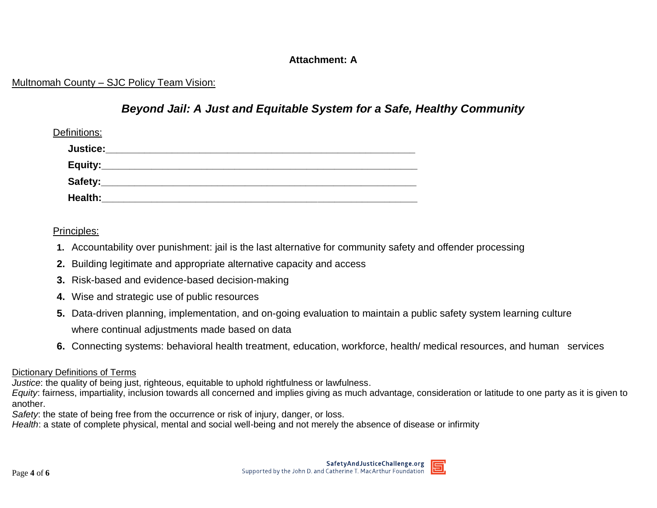# **Attachment: A**

# Multnomah County – SJC Policy Team Vision:

# *Beyond Jail: A Just and Equitable System for a Safe, Healthy Community*

| Definitions:    |  |
|-----------------|--|
| <b>Justice:</b> |  |
|                 |  |
|                 |  |
| Health:         |  |

Principles:

- **1.** Accountability over punishment: jail is the last alternative for community safety and offender processing
- **2.** Building legitimate and appropriate alternative capacity and access
- **3.** Risk-based and evidence-based decision-making
- **4.** Wise and strategic use of public resources
- **5.** Data-driven planning, implementation, and on-going evaluation to maintain a public safety system learning culture where continual adjustments made based on data
- **6.** Connecting systems: behavioral health treatment, education, workforce, health/ medical resources, and human services

## Dictionary Definitions of Terms

*Justice*: the quality of being just, righteous, equitable to uphold rightfulness or lawfulness.

*Equity*: fairness, impartiality, inclusion towards all concerned and implies giving as much advantage, consideration or latitude to one party as it is given to another.

*Safety*: the state of being free from the occurrence or risk of injury, danger, or loss.

*Health*: a state of complete physical, mental and social well-being and not merely the absence of disease or infirmity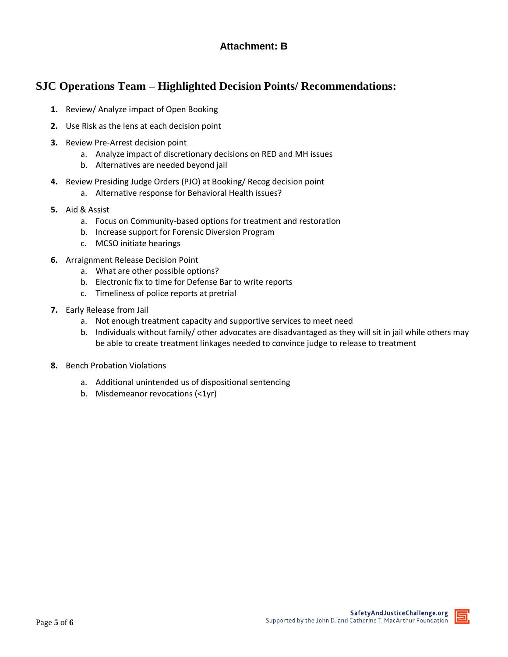# **Attachment: B**

# **SJC Operations Team – Highlighted Decision Points/ Recommendations:**

- **1.** Review/ Analyze impact of Open Booking
- **2.** Use Risk as the lens at each decision point
- **3.** Review Pre-Arrest decision point
	- a. Analyze impact of discretionary decisions on RED and MH issues
	- b. Alternatives are needed beyond jail
- **4.** Review Presiding Judge Orders (PJO) at Booking/ Recog decision point
	- a. Alternative response for Behavioral Health issues?
- **5.** Aid & Assist
	- a. Focus on Community-based options for treatment and restoration
	- b. Increase support for Forensic Diversion Program
	- c. MCSO initiate hearings
- **6.** Arraignment Release Decision Point
	- a. What are other possible options?
	- b. Electronic fix to time for Defense Bar to write reports
	- c. Timeliness of police reports at pretrial
- **7.** Early Release from Jail
	- a. Not enough treatment capacity and supportive services to meet need
	- b. Individuals without family/ other advocates are disadvantaged as they will sit in jail while others may be able to create treatment linkages needed to convince judge to release to treatment
- **8.** Bench Probation Violations
	- a. Additional unintended us of dispositional sentencing
	- b. Misdemeanor revocations (<1yr)